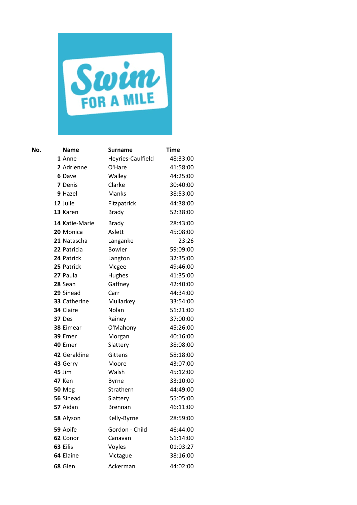

| No. | <b>Name</b>    | Surname           | <b>Time</b> |
|-----|----------------|-------------------|-------------|
|     | 1 Anne         | Heyries-Caulfield | 48:33:00    |
|     | 2 Adrienne     | O'Hare            | 41:58:00    |
|     | 6 Dave         | Walley            | 44:25:00    |
|     | 7 Denis        | Clarke            | 30:40:00    |
|     | 9 Hazel        | Manks             | 38:53:00    |
|     | 12 Julie       | Fitzpatrick       | 44:38:00    |
|     | 13 Karen       | <b>Brady</b>      | 52:38:00    |
|     | 14 Katie-Marie | <b>Brady</b>      | 28:43:00    |
|     | 20 Monica      | Aslett            | 45:08:00    |
|     | 21 Natascha    | Langanke          | 23:26       |
|     | 22 Patricia    | <b>Bowler</b>     | 59:09:00    |
|     | 24 Patrick     | Langton           | 32:35:00    |
|     | 25 Patrick     | Mcgee             | 49:46:00    |
|     | 27 Paula       | Hughes            | 41:35:00    |
|     | 28 Sean        | Gaffney           | 42:40:00    |
|     | 29 Sinead      | Carr              | 44:34:00    |
|     | 33 Catherine   | Mullarkey         | 33:54:00    |
|     | 34 Claire      | Nolan             | 51:21:00    |
|     | 37 Des         | Rainey            | 37:00:00    |
|     | 38 Eimear      | O'Mahony          | 45:26:00    |
|     | 39 Emer        | Morgan            | 40:16:00    |
|     | 40 Emer        | Slattery          | 38:08:00    |
|     | 42 Geraldine   | <b>Gittens</b>    | 58:18:00    |
|     | 43 Gerry       | Moore             | 43:07:00    |
|     | <b>45 Jim</b>  | Walsh             | 45:12:00    |
|     | <b>47 Ken</b>  | <b>Byrne</b>      | 33:10:00    |
|     | <b>50 Meg</b>  | Strathern         | 44:49:00    |
|     | 56 Sinead      | Slattery          | 55:05:00    |
|     | 57 Aidan       | <b>Brennan</b>    | 46:11:00    |
|     | 58 Alyson      | Kelly-Byrne       | 28:59:00    |
|     | 59 Aoife       | Gordon - Child    | 46:44:00    |
|     | 62 Conor       | Canavan           | 51:14:00    |
|     | 63 Eilis       | Voyles            | 01:03:27    |
|     | 64 Elaine      | Mctague           | 38:16:00    |
|     | 68 Glen        | Ackerman          | 44:02:00    |